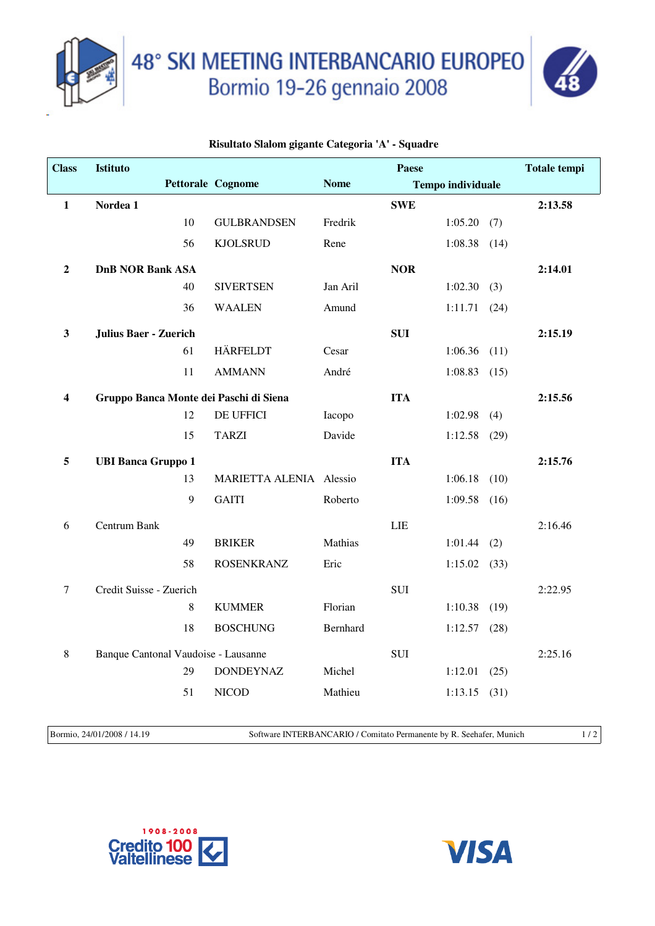



## **Risultato Slalom gigante Categoria 'A' - Squadre**

| <b>Class</b>            | <b>Istituto</b>                     |         |                                        |             | <b>Paese</b> |                          |      | <b>Totale tempi</b> |
|-------------------------|-------------------------------------|---------|----------------------------------------|-------------|--------------|--------------------------|------|---------------------|
|                         |                                     |         | <b>Pettorale Cognome</b>               | <b>Nome</b> |              | <b>Tempo individuale</b> |      |                     |
| $\mathbf{1}$            | Nordea 1                            |         |                                        |             | <b>SWE</b>   |                          |      | 2:13.58             |
|                         |                                     | 10      | <b>GULBRANDSEN</b>                     | Fredrik     |              | 1:05.20                  | (7)  |                     |
|                         |                                     | 56      | <b>KJOLSRUD</b>                        | Rene        |              | $1:08.38$ (14)           |      |                     |
| $\overline{2}$          | <b>DnB NOR Bank ASA</b>             |         |                                        |             | <b>NOR</b>   |                          |      | 2:14.01             |
|                         |                                     | 40      | <b>SIVERTSEN</b>                       | Jan Aril    |              | 1:02.30                  | (3)  |                     |
|                         |                                     | 36      | <b>WAALEN</b>                          | Amund       |              | 1:11.71                  | (24) |                     |
| $\mathbf{3}$            | <b>Julius Baer - Zuerich</b>        |         |                                        |             | <b>SUI</b>   |                          |      | 2:15.19             |
|                         |                                     | 61      | <b>HÄRFELDT</b>                        | Cesar       |              | $1:06.36$ $(11)$         |      |                     |
|                         |                                     | 11      | <b>AMMANN</b>                          | André       |              | 1:08.83                  | (15) |                     |
| $\overline{\mathbf{4}}$ |                                     |         | Gruppo Banca Monte dei Paschi di Siena |             | <b>ITA</b>   |                          |      | 2:15.56             |
|                         |                                     | 12      | DE UFFICI                              | Iacopo      |              | 1:02.98                  | (4)  |                     |
|                         |                                     | 15      | <b>TARZI</b>                           | Davide      |              | $1:12.58$ (29)           |      |                     |
| 5                       | <b>UBI Banca Gruppo 1</b>           |         |                                        |             | <b>ITA</b>   |                          |      | 2:15.76             |
|                         |                                     | 13      | MARIETTA ALENIA Alessio                |             |              | 1:06.18                  | (10) |                     |
|                         |                                     | 9       | <b>GAITI</b>                           | Roberto     |              | $1:09.58$ (16)           |      |                     |
| 6                       | Centrum Bank                        |         |                                        |             | <b>LIE</b>   |                          |      | 2:16.46             |
|                         |                                     | 49      | <b>BRIKER</b>                          | Mathias     |              | 1:01.44                  | (2)  |                     |
|                         |                                     | 58      | <b>ROSENKRANZ</b>                      | Eric        |              | 1:15.02                  | (33) |                     |
| $\tau$                  | Credit Suisse - Zuerich             |         |                                        |             | SUI          |                          |      | 2:22.95             |
|                         |                                     | $\,8\,$ | <b>KUMMER</b>                          | Florian     |              | 1:10.38                  | (19) |                     |
|                         |                                     | 18      | <b>BOSCHUNG</b>                        | Bernhard    |              | 1:12.57                  | (28) |                     |
| $8\,$                   | Banque Cantonal Vaudoise - Lausanne |         |                                        |             | <b>SUI</b>   |                          |      | 2:25.16             |
|                         |                                     | 29      | <b>DONDEYNAZ</b>                       | Michel      |              | 1:12.01                  | (25) |                     |
|                         |                                     | 51      | <b>NICOD</b>                           | Mathieu     |              | 1:13.15                  | (31) |                     |
|                         |                                     |         |                                        |             |              |                          |      |                     |

Bormio, 24/01/2008 / 14.19 Software INTERBANCARIO / Comitato Permanente by R. Seehafer, Munich 1 / 2